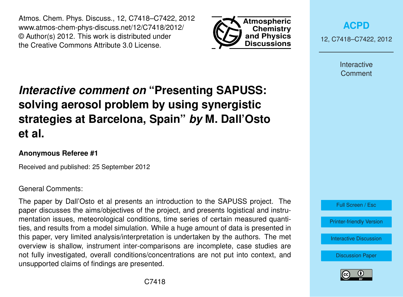Atmos. Chem. Phys. Discuss., 12, C7418–C7422, 2012 www.atmos-chem-phys-discuss.net/12/C7418/2012/ © Author(s) 2012. This work is distributed under the Creative Commons Attribute 3.0 License.



**[ACPD](http://www.atmos-chem-phys-discuss.net)**

12, C7418–C7422, 2012

Interactive **Comment** 

# *Interactive comment on* **"Presenting SAPUSS: solving aerosol problem by using synergistic strategies at Barcelona, Spain"** *by* **M. Dall'Osto et al.**

### **Anonymous Referee #1**

Received and published: 25 September 2012

#### General Comments:

The paper by Dall'Osto et al presents an introduction to the SAPUSS project. The paper discusses the aims/objectives of the project, and presents logistical and instrumentation issues, meteorological conditions, time series of certain measured quantities, and results from a model simulation. While a huge amount of data is presented in this paper, very limited analysis/interpretation is undertaken by the authors. The met overview is shallow, instrument inter-comparisons are incomplete, case studies are not fully investigated, overall conditions/concentrations are not put into context, and unsupported claims of findings are presented.



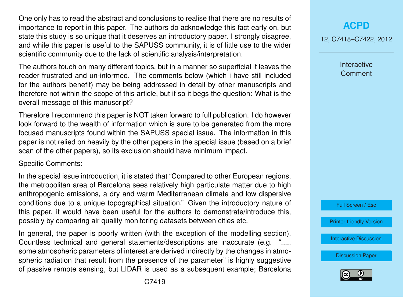One only has to read the abstract and conclusions to realise that there are no results of importance to report in this paper. The authors do acknowledge this fact early on, but state this study is so unique that it deserves an introductory paper. I strongly disagree, and while this paper is useful to the SAPUSS community, it is of little use to the wider scientific community due to the lack of scientific analysis/interpretation.

The authors touch on many different topics, but in a manner so superficial it leaves the reader frustrated and un-informed. The comments below (which i have still included for the authors benefit) may be being addressed in detail by other manuscripts and therefore not within the scope of this article, but if so it begs the question: What is the overall message of this manuscript?

Therefore I recommend this paper is NOT taken forward to full publication. I do however look forward to the wealth of information which is sure to be generated from the more focused manuscripts found within the SAPUSS special issue. The information in this paper is not relied on heavily by the other papers in the special issue (based on a brief scan of the other papers), so its exclusion should have minimum impact.

Specific Comments:

In the special issue introduction, it is stated that "Compared to other European regions, the metropolitan area of Barcelona sees relatively high particulate matter due to high anthropogenic emissions, a dry and warm Mediterranean climate and low dispersive conditions due to a unique topographical situation." Given the introductory nature of this paper, it would have been useful for the authors to demonstrate/introduce this, possibly by comparing air quality monitoring datasets between cities etc.

In general, the paper is poorly written (with the exception of the modelling section). Countless technical and general statements/descriptions are inaccurate (e.g. "..... some atmospheric parameters of interest are derived indirectly by the changes in atmospheric radiation that result from the presence of the parameter" is highly suggestive of passive remote sensing, but LIDAR is used as a subsequent example; Barcelona 12, C7418–C7422, 2012

Interactive **Comment** 



[Printer-friendly Version](http://www.atmos-chem-phys-discuss.net/12/C7418/2012/acpd-12-C7418-2012-print.pdf)

[Interactive Discussion](http://www.atmos-chem-phys-discuss.net/12/18741/2012/acpd-12-18741-2012-discussion.html)

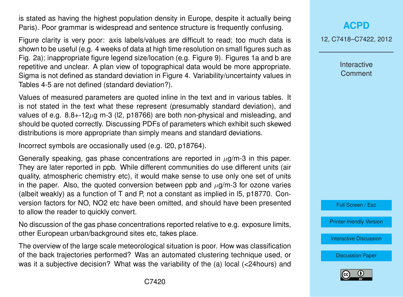is stated as having the highest population density in Europe, despite it actually being Paris). Poor grammar is widespread and sentence structure is frequently confusing.

Figure clarity is very poor: axis labels/values are difficult to read; too much data is shown to be useful (e.g. 4 weeks of data at high time resolution on small figures such as Fig. 2a); inappropriate figure legend size/location (e.g. Figure 9). Figures 1a and b are repetitive and unclear. A plan view of topographical data would be more appropriate. Sigma is not defined as standard deviation in Figure 4. Variability/uncertainty values in Tables 4-5 are not defined (standard deviation?).

Values of measured parameters are quoted inline in the text and in various tables. It is not stated in the text what these represent (presumably standard deviation), and values of e.g.  $8.8 + 12\mu$ g m-3 (l2, p18766) are both non-physical and misleading, and should be quoted correctly. Discussing PDFs of parameters which exhibit such skewed distributions is more appropriate than simply means and standard deviations.

Incorrect symbols are occasionally used (e.g. l20, p18764).

Generally speaking, gas phase concentrations are reported in  $\mu$ g/m-3 in this paper. They are later reported in ppb. While different communities do use different units (air quality, atmospheric chemistry etc), it would make sense to use only one set of units in the paper. Also, the quoted conversion between ppb and  $\mu$ g/m-3 for ozone varies (albeit weakly) as a function of T and P, not a constant as implied in l5, p18770. Conversion factors for NO, NO2 etc have been omitted, and should have been presented to allow the reader to quickly convert.

No discussion of the gas phase concentrations reported relative to e.g. exposure limits, other European urban/background sites etc, takes place.

The overview of the large scale meteorological situation is poor. How was classification of the back trajectories performed? Was an automated clustering technique used, or was it a subjective decision? What was the variability of the (a) local (<24hours) and

#### **[ACPD](http://www.atmos-chem-phys-discuss.net)**

12, C7418–C7422, 2012

**Interactive Comment** 

Full Screen / Esc

[Printer-friendly Version](http://www.atmos-chem-phys-discuss.net/12/C7418/2012/acpd-12-C7418-2012-print.pdf)

[Interactive Discussion](http://www.atmos-chem-phys-discuss.net/12/18741/2012/acpd-12-18741-2012-discussion.html)

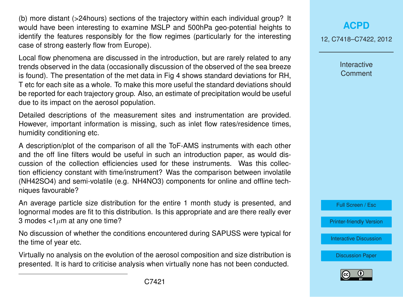(b) more distant (>24hours) sections of the trajectory within each individual group? It would have been interesting to examine MSLP and 500hPa geo-potential heights to identify the features responsibly for the flow regimes (particularly for the interesting case of strong easterly flow from Europe).

Local flow phenomena are discussed in the introduction, but are rarely related to any trends observed in the data (occasionally discussion of the observed of the sea breeze is found). The presentation of the met data in Fig 4 shows standard deviations for RH, T etc for each site as a whole. To make this more useful the standard deviations should be reported for each trajectory group. Also, an estimate of precipitation would be useful due to its impact on the aerosol population.

Detailed descriptions of the measurement sites and instrumentation are provided. However, important information is missing, such as inlet flow rates/residence times, humidity conditioning etc.

A description/plot of the comparison of all the ToF-AMS instruments with each other and the off line filters would be useful in such an introduction paper, as would discussion of the collection efficiencies used for these instruments. Was this collection efficiency constant with time/instrument? Was the comparison between involatile (NH42SO4) and semi-volatile (e.g. NH4NO3) components for online and offline techniques favourable?

An average particle size distribution for the entire 1 month study is presented, and lognormal modes are fit to this distribution. Is this appropriate and are there really ever 3 modes  $<1 \mu m$  at any one time?

No discussion of whether the conditions encountered during SAPUSS were typical for the time of year etc.

Virtually no analysis on the evolution of the aerosol composition and size distribution is presented. It is hard to criticise analysis when virtually none has not been conducted.

## **[ACPD](http://www.atmos-chem-phys-discuss.net)**

12, C7418–C7422, 2012

Interactive **Comment** 

Full Screen / Esc

[Printer-friendly Version](http://www.atmos-chem-phys-discuss.net/12/C7418/2012/acpd-12-C7418-2012-print.pdf)

[Interactive Discussion](http://www.atmos-chem-phys-discuss.net/12/18741/2012/acpd-12-18741-2012-discussion.html)